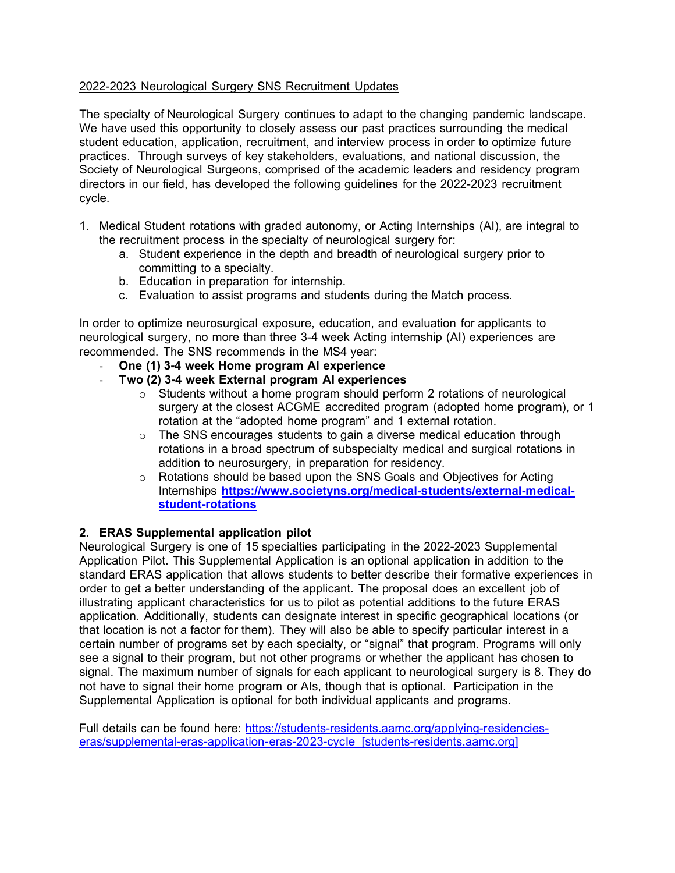## 2022-2023 Neurological Surgery SNS Recruitment Updates

The specialty of Neurological Surgery continues to adapt to the changing pandemic landscape. We have used this opportunity to closely assess our past practices surrounding the medical student education, application, recruitment, and interview process in order to optimize future practices. Through surveys of key stakeholders, evaluations, and national discussion, the Society of Neurological Surgeons, comprised of the academic leaders and residency program directors in our field, has developed the following guidelines for the 2022-2023 recruitment cycle.

- 1. Medical Student rotations with graded autonomy, or Acting Internships (AI), are integral to the recruitment process in the specialty of neurological surgery for:
	- a. Student experience in the depth and breadth of neurological surgery prior to committing to a specialty.
	- b. Education in preparation for internship.
	- c. Evaluation to assist programs and students during the Match process.

In order to optimize neurosurgical exposure, education, and evaluation for applicants to neurological surgery, no more than three 3-4 week Acting internship (AI) experiences are recommended. The SNS recommends in the MS4 year:

- **One (1) 3-4 week Home program AI experience**
- **Two (2) 3-4 week External program AI experiences**
	- $\circ$  Students without a home program should perform 2 rotations of neurological surgery at the closest ACGME accredited program (adopted home program), or 1 rotation at the "adopted home program" and 1 external rotation.
	- $\circ$  The SNS encourages students to gain a diverse medical education through rotations in a broad spectrum of subspecialty medical and surgical rotations in addition to neurosurgery, in preparation for residency.
	- $\circ$  Rotations should be based upon the SNS Goals and Objectives for Acting Internships **[https://www.societyns.org/medical-students/external-medical](https://www.societyns.org/medical-students/external-medical-student-rotations)[student-rotations](https://www.societyns.org/medical-students/external-medical-student-rotations)**

## **2. ERAS Supplemental application pilot**

Neurological Surgery is one of 15 specialties participating in the 2022-2023 Supplemental Application Pilot. This Supplemental Application is an optional application in addition to the standard ERAS application that allows students to better describe their formative experiences in order to get a better understanding of the applicant. The proposal does an excellent job of illustrating applicant characteristics for us to pilot as potential additions to the future ERAS application. Additionally, students can designate interest in specific geographical locations (or that location is not a factor for them). They will also be able to specify particular interest in a certain number of programs set by each specialty, or "signal" that program. Programs will only see a signal to their program, but not other programs or whether the applicant has chosen to signal. The maximum number of signals for each applicant to neurological surgery is 8. They do not have to signal their home program or AIs, though that is optional. Participation in the Supplemental Application is optional for both individual applicants and programs.

Full details can be found here: [https://students-residents.aamc.org/applying-residencies](https://urldefense.com/v3/__https:/students-residents.aamc.org/applying-residencies-eras/supplemental-eras-application-eras-2023-cycle__;!!GA8Xfdg!mQESZgM5oU1SGkZEue1ZFzNizZeZMJ3BLqE9_KcpM6Ch2AcmKG8WcKK5qPgnupjGWg$)[eras/supplemental-eras-application-eras-2023-cycle \[students-residents.aamc.org\]](https://urldefense.com/v3/__https:/students-residents.aamc.org/applying-residencies-eras/supplemental-eras-application-eras-2023-cycle__;!!GA8Xfdg!mQESZgM5oU1SGkZEue1ZFzNizZeZMJ3BLqE9_KcpM6Ch2AcmKG8WcKK5qPgnupjGWg$)